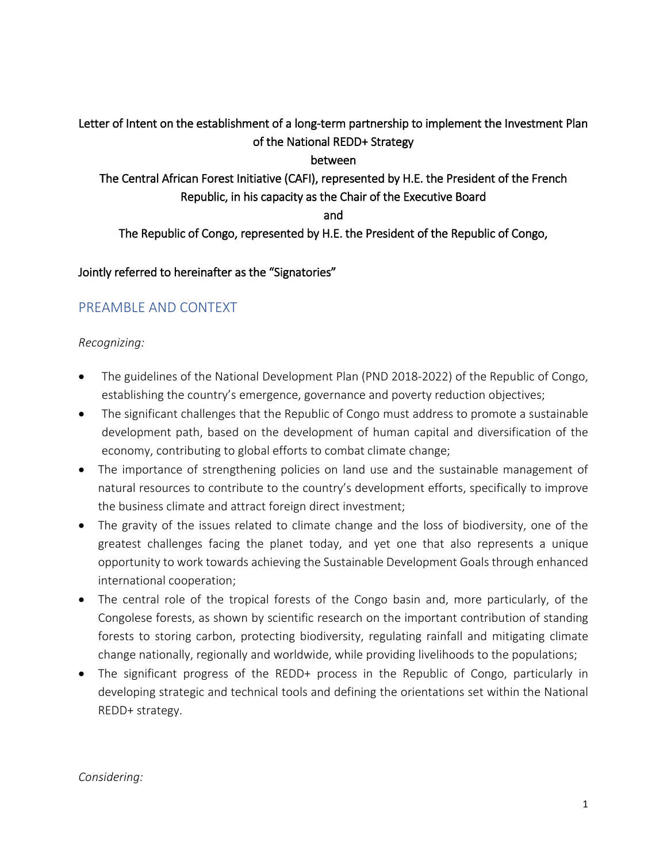Letter of Intent on the establishment of a long-term partnership to implement the Investment Plan of the National REDD+ Strategy

between

The Central African Forest Initiative (CAFI), represented by H.E. the President of the French Republic, in his capacity as the Chair of the Executive Board

and

The Republic of Congo, represented by H.E. the President of the Republic of Congo,

Jointly referred to hereinafter as the "Signatories"

## PREAMBLE AND CONTEXT

#### *Recognizing:*

- The guidelines of the National Development Plan (PND 2018-2022) of the Republic of Congo, establishing the country's emergence, governance and poverty reduction objectives;
- The significant challenges that the Republic of Congo must address to promote a sustainable development path, based on the development of human capital and diversification of the economy, contributing to global efforts to combat climate change;
- The importance of strengthening policies on land use and the sustainable management of natural resources to contribute to the country's development efforts, specifically to improve the business climate and attract foreign direct investment;
- The gravity of the issues related to climate change and the loss of biodiversity, one of the greatest challenges facing the planet today, and yet one that also represents a unique opportunity to work towards achieving the Sustainable Development Goals through enhanced international cooperation;
- The central role of the tropical forests of the Congo basin and, more particularly, of the Congolese forests, as shown by scientific research on the important contribution of standing forests to storing carbon, protecting biodiversity, regulating rainfall and mitigating climate change nationally, regionally and worldwide, while providing livelihoods to the populations;
- The significant progress of the REDD+ process in the Republic of Congo, particularly in developing strategic and technical tools and defining the orientations set within the National REDD+ strategy.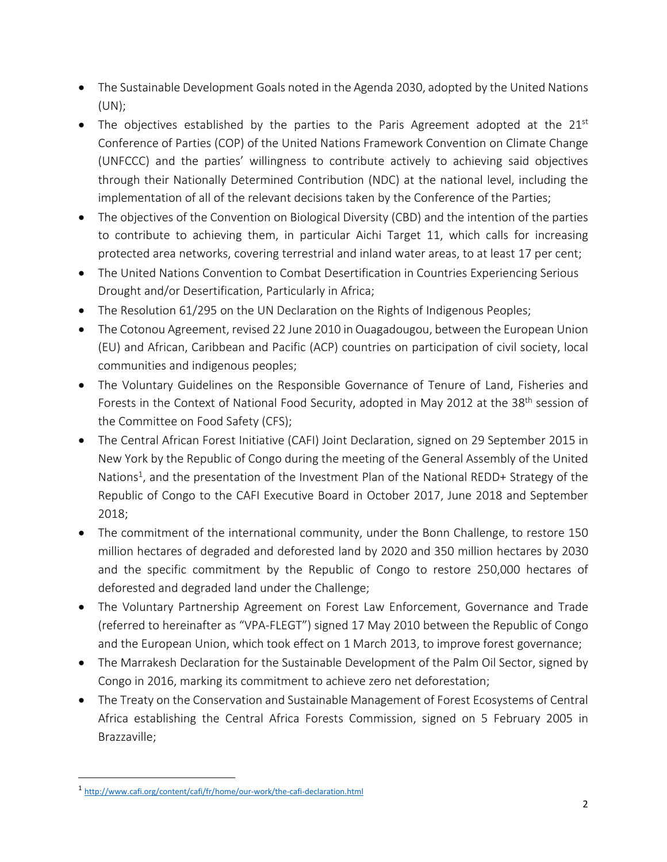- The Sustainable Development Goals noted in the Agenda 2030, adopted by the United Nations (UN);
- The objectives established by the parties to the Paris Agreement adopted at the  $21^{st}$ Conference of Parties (COP) of the United Nations Framework Convention on Climate Change (UNFCCC) and the parties' willingness to contribute actively to achieving said objectives through their Nationally Determined Contribution (NDC) at the national level, including the implementation of all of the relevant decisions taken by the Conference of the Parties;
- The objectives of the Convention on Biological Diversity (CBD) and the intention of the parties to contribute to achieving them, in particular Aichi Target 11, which calls for increasing protected area networks, covering terrestrial and inland water areas, to at least 17 per cent;
- The United Nations Convention to Combat Desertification in Countries Experiencing Serious Drought and/or Desertification, Particularly in Africa;
- The Resolution 61/295 on the UN Declaration on the Rights of Indigenous Peoples;
- The Cotonou Agreement, revised 22 June 2010 in Ouagadougou, between the European Union (EU) and African, Caribbean and Pacific (ACP) countries on participation of civil society, local communities and indigenous peoples;
- The Voluntary Guidelines on the Responsible Governance of Tenure of Land, Fisheries and Forests in the Context of National Food Security, adopted in May 2012 at the 38<sup>th</sup> session of the Committee on Food Safety (CFS);
- The Central African Forest Initiative (CAFI) Joint Declaration, signed on 29 September 2015 in New York by the Republic of Congo during the meeting of the General Assembly of the United Nations<sup>1</sup>, and the presentation of the Investment Plan of the National REDD+ Strategy of the Republic of Congo to the CAFI Executive Board in October 2017, June 2018 and September 2018;
- The commitment of the international community, under the Bonn Challenge, to restore 150 million hectares of degraded and deforested land by 2020 and 350 million hectares by 2030 and the specific commitment by the Republic of Congo to restore 250,000 hectares of deforested and degraded land under the Challenge;
- The Voluntary Partnership Agreement on Forest Law Enforcement, Governance and Trade (referred to hereinafter as "VPA-FLEGT") signed 17 May 2010 between the Republic of Congo and the European Union, which took effect on 1 March 2013, to improve forest governance;
- The Marrakesh Declaration for the Sustainable Development of the Palm Oil Sector, signed by Congo in 2016, marking its commitment to achieve zero net deforestation;
- The Treaty on the Conservation and Sustainable Management of Forest Ecosystems of Central Africa establishing the Central Africa Forests Commission, signed on 5 February 2005 in Brazzaville;

<sup>1</sup> http://www.cafi.org/content/cafi/fr/home/our-work/the-cafi-declaration.html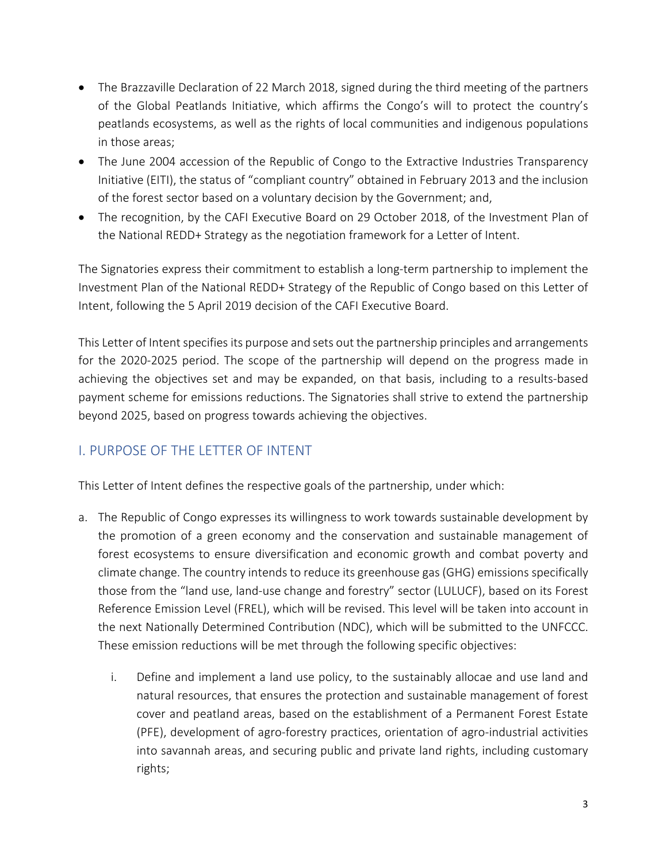- The Brazzaville Declaration of 22 March 2018, signed during the third meeting of the partners of the Global Peatlands Initiative, which affirms the Congo's will to protect the country's peatlands ecosystems, as well as the rights of local communities and indigenous populations in those areas;
- The June 2004 accession of the Republic of Congo to the Extractive Industries Transparency Initiative (EITI), the status of "compliant country" obtained in February 2013 and the inclusion of the forest sector based on a voluntary decision by the Government; and,
- The recognition, by the CAFI Executive Board on 29 October 2018, of the Investment Plan of the National REDD+ Strategy as the negotiation framework for a Letter of Intent.

The Signatories express their commitment to establish a long-term partnership to implement the Investment Plan of the National REDD+ Strategy of the Republic of Congo based on this Letter of Intent, following the 5 April 2019 decision of the CAFI Executive Board.

This Letter of Intent specifies its purpose and sets out the partnership principles and arrangements for the 2020-2025 period. The scope of the partnership will depend on the progress made in achieving the objectives set and may be expanded, on that basis, including to a results-based payment scheme for emissions reductions. The Signatories shall strive to extend the partnership beyond 2025, based on progress towards achieving the objectives.

## I. PURPOSE OF THE LETTER OF INTENT

This Letter of Intent defines the respective goals of the partnership, under which:

- a. The Republic of Congo expresses its willingness to work towards sustainable development by the promotion of a green economy and the conservation and sustainable management of forest ecosystems to ensure diversification and economic growth and combat poverty and climate change. The country intends to reduce its greenhouse gas (GHG) emissions specifically those from the "land use, land-use change and forestry" sector (LULUCF), based on its Forest Reference Emission Level (FREL), which will be revised. This level will be taken into account in the next Nationally Determined Contribution (NDC), which will be submitted to the UNFCCC. These emission reductions will be met through the following specific objectives:
	- i. Define and implement a land use policy, to the sustainably allocae and use land and natural resources, that ensures the protection and sustainable management of forest cover and peatland areas, based on the establishment of a Permanent Forest Estate (PFE), development of agro-forestry practices, orientation of agro-industrial activities into savannah areas, and securing public and private land rights, including customary rights;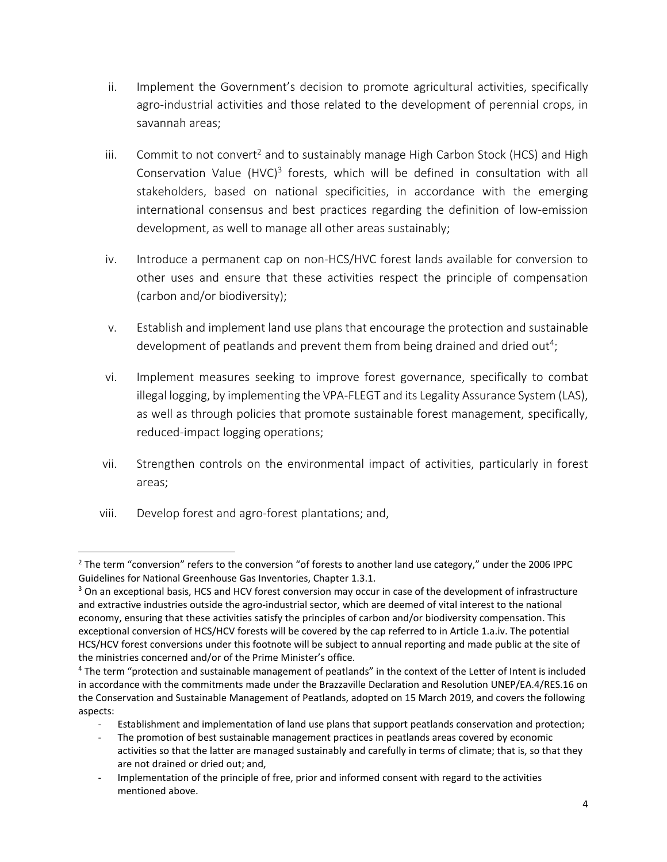- ii. Implement the Government's decision to promote agricultural activities, specifically agro-industrial activities and those related to the development of perennial crops, in savannah areas;
- iii. Commit to not convert<sup>2</sup> and to sustainably manage High Carbon Stock (HCS) and High Conservation Value (HVC)<sup>3</sup> forests, which will be defined in consultation with all stakeholders, based on national specificities, in accordance with the emerging international consensus and best practices regarding the definition of low-emission development, as well to manage all other areas sustainably;
- iv. Introduce a permanent cap on non-HCS/HVC forest lands available for conversion to other uses and ensure that these activities respect the principle of compensation (carbon and/or biodiversity);
- v. Establish and implement land use plans that encourage the protection and sustainable development of peatlands and prevent them from being drained and dried out<sup>4</sup>;
- vi. Implement measures seeking to improve forest governance, specifically to combat illegal logging, by implementing the VPA-FLEGT and its Legality Assurance System (LAS), as well as through policies that promote sustainable forest management, specifically, reduced-impact logging operations;
- vii. Strengthen controls on the environmental impact of activities, particularly in forest areas;
- viii. Develop forest and agro-forest plantations; and,

 $\overline{a}$  $2$  The term "conversion" refers to the conversion "of forests to another land use category," under the 2006 IPPC Guidelines for National Greenhouse Gas Inventories, Chapter 1.3.1.

<sup>&</sup>lt;sup>3</sup> On an exceptional basis, HCS and HCV forest conversion may occur in case of the development of infrastructure and extractive industries outside the agro-industrial sector, which are deemed of vital interest to the national economy, ensuring that these activities satisfy the principles of carbon and/or biodiversity compensation. This exceptional conversion of HCS/HCV forests will be covered by the cap referred to in Article 1.a.iv. The potential HCS/HCV forest conversions under this footnote will be subject to annual reporting and made public at the site of the ministries concerned and/or of the Prime Minister's office.

<sup>4</sup> The term "protection and sustainable management of peatlands" in the context of the Letter of Intent is included in accordance with the commitments made under the Brazzaville Declaration and Resolution UNEP/EA.4/RES.16 on the Conservation and Sustainable Management of Peatlands, adopted on 15 March 2019, and covers the following aspects:

Establishment and implementation of land use plans that support peatlands conservation and protection;

The promotion of best sustainable management practices in peatlands areas covered by economic activities so that the latter are managed sustainably and carefully in terms of climate; that is, so that they are not drained or dried out; and,

Implementation of the principle of free, prior and informed consent with regard to the activities mentioned above.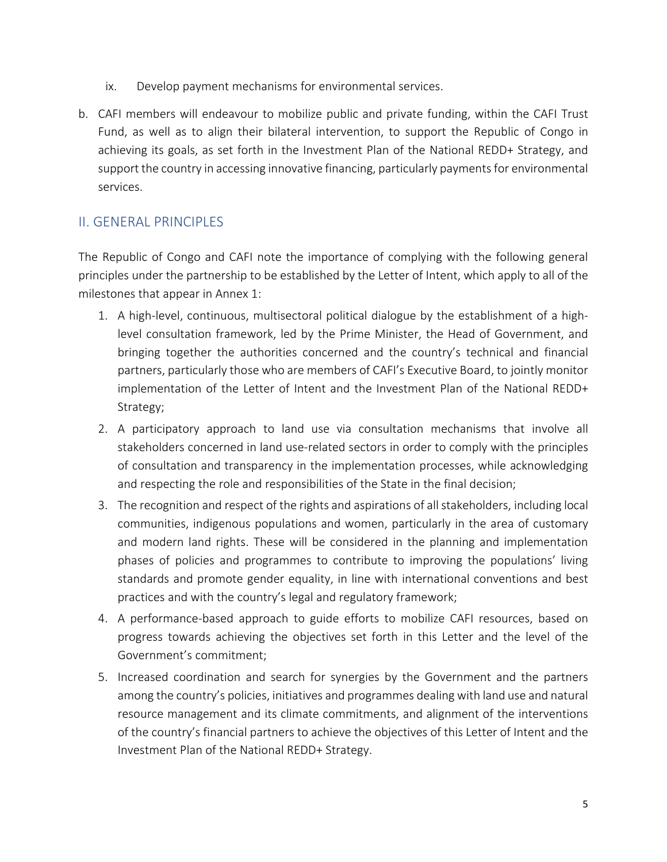- ix. Develop payment mechanisms for environmental services.
- b. CAFI members will endeavour to mobilize public and private funding, within the CAFI Trust Fund, as well as to align their bilateral intervention, to support the Republic of Congo in achieving its goals, as set forth in the Investment Plan of the National REDD+ Strategy, and support the country in accessing innovative financing, particularly payments for environmental services.

## II. GENERAL PRINCIPLES

The Republic of Congo and CAFI note the importance of complying with the following general principles under the partnership to be established by the Letter of Intent, which apply to all of the milestones that appear in Annex 1:

- 1. A high-level, continuous, multisectoral political dialogue by the establishment of a highlevel consultation framework, led by the Prime Minister, the Head of Government, and bringing together the authorities concerned and the country's technical and financial partners, particularly those who are members of CAFI's Executive Board, to jointly monitor implementation of the Letter of Intent and the Investment Plan of the National REDD+ Strategy;
- 2. A participatory approach to land use via consultation mechanisms that involve all stakeholders concerned in land use-related sectors in order to comply with the principles of consultation and transparency in the implementation processes, while acknowledging and respecting the role and responsibilities of the State in the final decision;
- 3. The recognition and respect of the rights and aspirations of allstakeholders, including local communities, indigenous populations and women, particularly in the area of customary and modern land rights. These will be considered in the planning and implementation phases of policies and programmes to contribute to improving the populations' living standards and promote gender equality, in line with international conventions and best practices and with the country's legal and regulatory framework;
- 4. A performance-based approach to guide efforts to mobilize CAFI resources, based on progress towards achieving the objectives set forth in this Letter and the level of the Government's commitment;
- 5. Increased coordination and search for synergies by the Government and the partners among the country's policies, initiatives and programmes dealing with land use and natural resource management and its climate commitments, and alignment of the interventions of the country's financial partners to achieve the objectives of this Letter of Intent and the Investment Plan of the National REDD+ Strategy.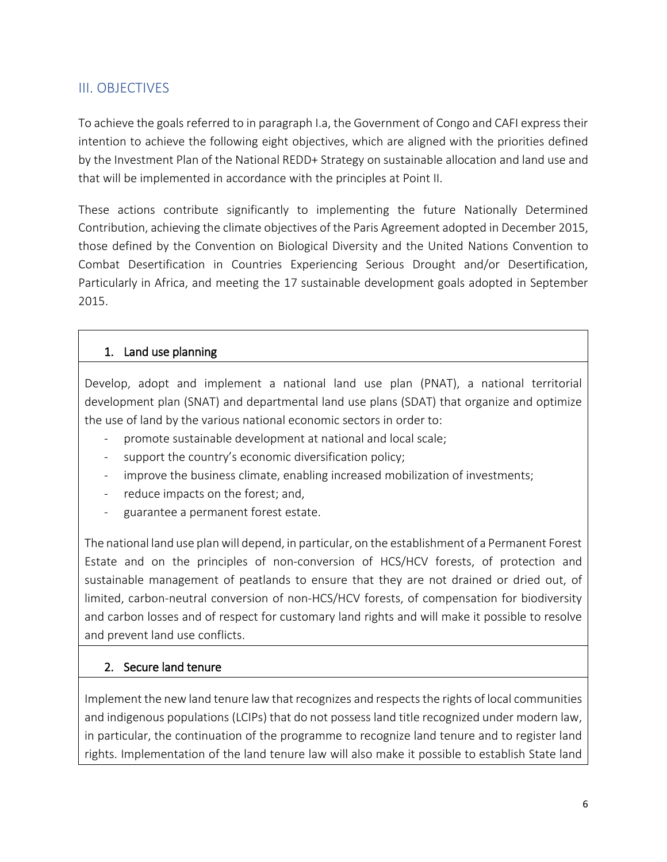## III. OBJECTIVES

To achieve the goals referred to in paragraph I.a, the Government of Congo and CAFI express their intention to achieve the following eight objectives, which are aligned with the priorities defined by the Investment Plan of the National REDD+ Strategy on sustainable allocation and land use and that will be implemented in accordance with the principles at Point II.

These actions contribute significantly to implementing the future Nationally Determined Contribution, achieving the climate objectives of the Paris Agreement adopted in December 2015, those defined by the Convention on Biological Diversity and the United Nations Convention to Combat Desertification in Countries Experiencing Serious Drought and/or Desertification, Particularly in Africa, and meeting the 17 sustainable development goals adopted in September 2015.

#### 1. Land use planning

Develop, adopt and implement a national land use plan (PNAT), a national territorial development plan (SNAT) and departmental land use plans (SDAT) that organize and optimize the use of land by the various national economic sectors in order to:

- promote sustainable development at national and local scale;
- support the country's economic diversification policy;
- improve the business climate, enabling increased mobilization of investments;
- reduce impacts on the forest; and,
- guarantee a permanent forest estate.

The national land use planwill depend, in particular, on the establishment of a Permanent Forest Estate and on the principles of non-conversion of HCS/HCV forests, of protection and sustainable management of peatlands to ensure that they are not drained or dried out, of limited, carbon-neutral conversion of non-HCS/HCV forests, of compensation for biodiversity and carbon losses and of respect for customary land rights and will make it possible to resolve and prevent land use conflicts.

#### 2. Secure land tenure

Implement the new land tenure law that recognizes and respectsthe rights of local communities and indigenous populations (LCIPs) that do not possess land title recognized under modern law, in particular, the continuation of the programme to recognize land tenure and to register land rights. Implementation of the land tenure law will also make it possible to establish State land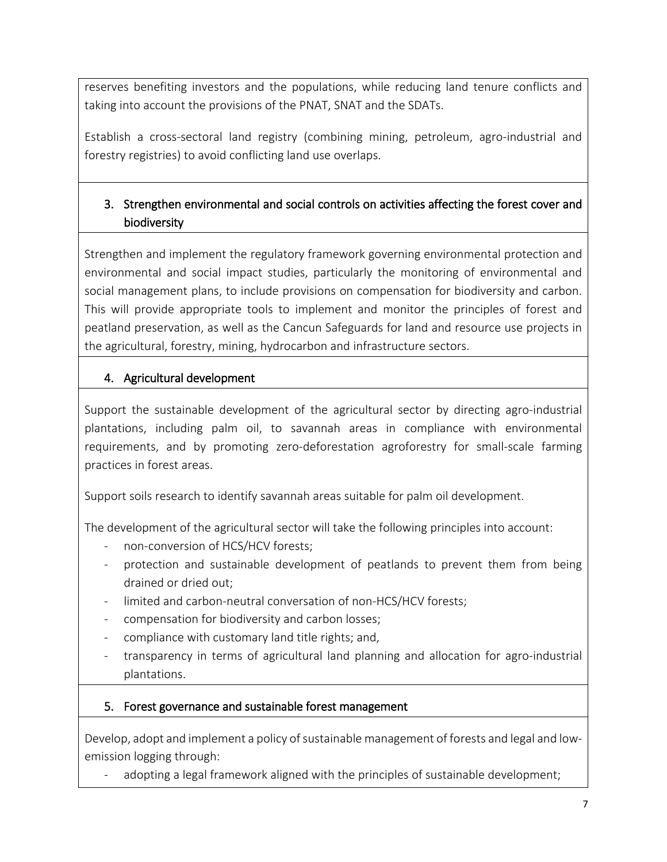reserves benefiting investors and the populations, while reducing land tenure conflicts and taking into account the provisions of the PNAT, SNAT and the SDATs.

Establish a cross-sectoral land registry (combining mining, petroleum, agro-industrial and forestry registries) to avoid conflicting land use overlaps.

## 3. Strengthen environmental and social controls on activities affecting the forest cover and biodiversity

Strengthen and implement the regulatory framework governing environmental protection and environmental and social impact studies, particularly the monitoring of environmental and social management plans, to include provisions on compensation for biodiversity and carbon. This will provide appropriate tools to implement and monitor the principles of forest and peatland preservation, as well as the Cancun Safeguards for land and resource use projects in the agricultural, forestry, mining, hydrocarbon and infrastructure sectors.

## 4. Agricultural development

Support the sustainable development of the agricultural sector by directing agro-industrial plantations, including palm oil, to savannah areas in compliance with environmental requirements, and by promoting zero-deforestation agroforestry for small-scale farming practices in forest areas.

Support soils research to identify savannah areas suitable for palm oil development.

The development of the agricultural sector will take the following principles into account:

- non-conversion of HCS/HCV forests;
- protection and sustainable development of peatlands to prevent them from being drained or dried out;
- limited and carbon-neutral conversation of non-HCS/HCV forests;
- compensation for biodiversity and carbon losses;
- compliance with customary land title rights; and,
- transparency in terms of agricultural land planning and allocation for agro-industrial plantations.

## 5. Forest governance and sustainable forest management

Develop, adopt and implement a policy of sustainable management of forests and legal and lowemission logging through:

adopting a legal framework aligned with the principles of sustainable development;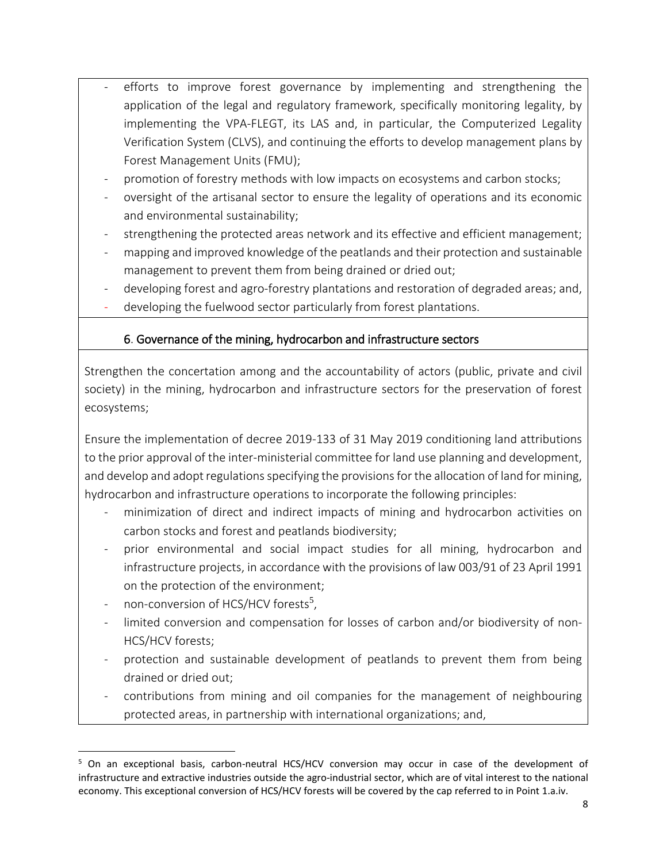- efforts to improve forest governance by implementing and strengthening the application of the legal and regulatory framework, specifically monitoring legality, by implementing the VPA-FLEGT, its LAS and, in particular, the Computerized Legality Verification System (CLVS), and continuing the efforts to develop management plans by Forest Management Units (FMU);
- promotion of forestry methods with low impacts on ecosystems and carbon stocks;
- oversight of the artisanal sector to ensure the legality of operations and its economic and environmental sustainability;
- strengthening the protected areas network and its effective and efficient management;
- mapping and improved knowledge of the peatlands and their protection and sustainable management to prevent them from being drained or dried out;
- developing forest and agro-forestry plantations and restoration of degraded areas; and,
- developing the fuelwood sector particularly from forest plantations.

## 6. Governance of the mining, hydrocarbon and infrastructure sectors

Strengthen the concertation among and the accountability of actors (public, private and civil society) in the mining, hydrocarbon and infrastructure sectors for the preservation of forest ecosystems;

Ensure the implementation of decree 2019-133 of 31 May 2019 conditioning land attributions to the prior approval of the inter-ministerial committee for land use planning and development, and develop and adopt regulations specifying the provisions for the allocation of land for mining, hydrocarbon and infrastructure operations to incorporate the following principles:

- minimization of direct and indirect impacts of mining and hydrocarbon activities on carbon stocks and forest and peatlands biodiversity;
- prior environmental and social impact studies for all mining, hydrocarbon and infrastructure projects, in accordance with the provisions of law 003/91 of 23 April 1991 on the protection of the environment;
- non-conversion of HCS/HCV forests<sup>5</sup>,
- limited conversion and compensation for losses of carbon and/or biodiversity of non-HCS/HCV forests;
- protection and sustainable development of peatlands to prevent them from being drained or dried out;
- contributions from mining and oil companies for the management of neighbouring protected areas, in partnership with international organizations; and,

 $\overline{a}$ <sup>5</sup> On an exceptional basis, carbon-neutral HCS/HCV conversion may occur in case of the development of infrastructure and extractive industries outside the agro-industrial sector, which are of vital interest to the national economy. This exceptional conversion of HCS/HCV forests will be covered by the cap referred to in Point 1.a.iv.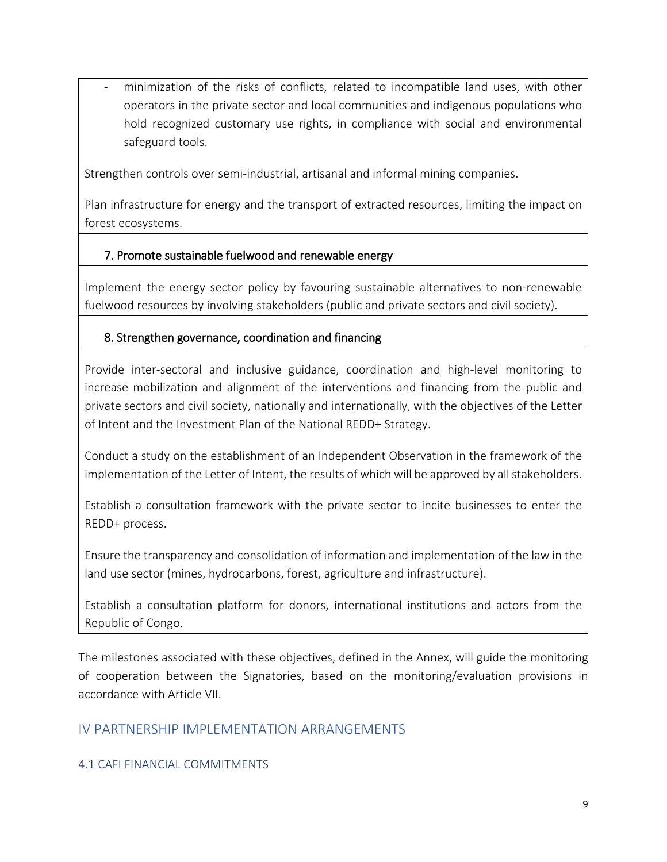minimization of the risks of conflicts, related to incompatible land uses, with other operators in the private sector and local communities and indigenous populations who hold recognized customary use rights, in compliance with social and environmental safeguard tools.

Strengthen controls over semi-industrial, artisanal and informal mining companies.

Plan infrastructure for energy and the transport of extracted resources, limiting the impact on forest ecosystems.

#### 7. Promote sustainable fuelwood and renewable energy

Implement the energy sector policy by favouring sustainable alternatives to non-renewable fuelwood resources by involving stakeholders (public and private sectors and civil society).

#### 8. Strengthen governance, coordination and financing

Provide inter-sectoral and inclusive guidance, coordination and high-level monitoring to increase mobilization and alignment of the interventions and financing from the public and private sectors and civil society, nationally and internationally, with the objectives of the Letter of Intent and the Investment Plan of the National REDD+ Strategy.

Conduct a study on the establishment of an Independent Observation in the framework of the implementation of the Letter of Intent, the results of which will be approved by all stakeholders.

Establish a consultation framework with the private sector to incite businesses to enter the REDD+ process.

Ensure the transparency and consolidation of information and implementation of the law in the land use sector (mines, hydrocarbons, forest, agriculture and infrastructure).

Establish a consultation platform for donors, international institutions and actors from the Republic of Congo.

The milestones associated with these objectives, defined in the Annex, will guide the monitoring of cooperation between the Signatories, based on the monitoring/evaluation provisions in accordance with Article VII.

## IV PARTNERSHIP IMPLEMENTATION ARRANGEMENTS

#### 4.1 CAFI FINANCIAL COMMITMENTS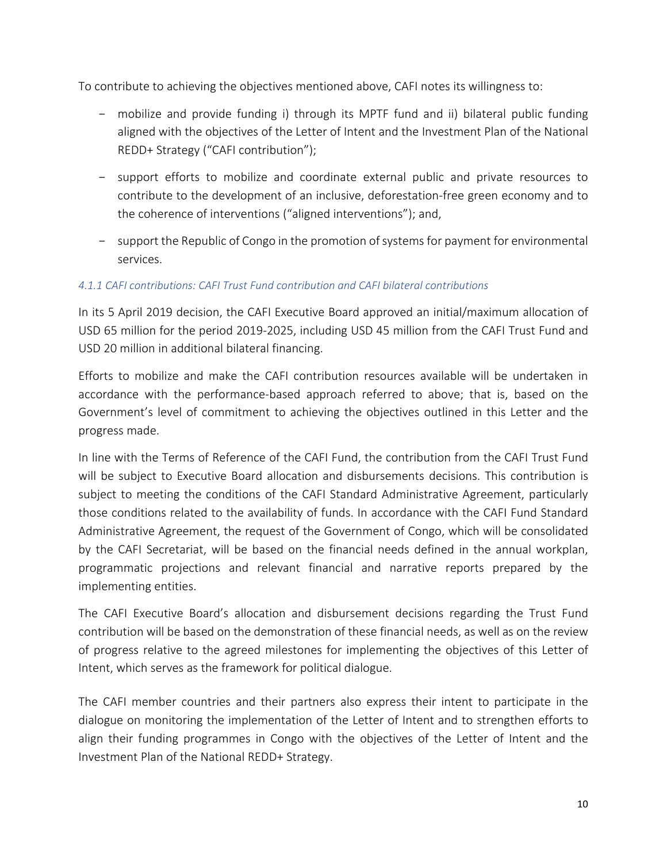To contribute to achieving the objectives mentioned above, CAFI notes its willingness to:

- mobilize and provide funding i) through its MPTF fund and ii) bilateral public funding aligned with the objectives of the Letter of Intent and the Investment Plan of the National REDD+ Strategy ("CAFI contribution");
- support efforts to mobilize and coordinate external public and private resources to contribute to the development of an inclusive, deforestation-free green economy and to the coherence of interventions ("aligned interventions"); and,
- support the Republic of Congo in the promotion of systems for payment for environmental services.

#### *4.1.1 CAFI contributions: CAFI Trust Fund contribution and CAFI bilateral contributions*

In its 5 April 2019 decision, the CAFI Executive Board approved an initial/maximum allocation of USD 65 million for the period 2019-2025, including USD 45 million from the CAFI Trust Fund and USD 20 million in additional bilateral financing.

Efforts to mobilize and make the CAFI contribution resources available will be undertaken in accordance with the performance-based approach referred to above; that is, based on the Government's level of commitment to achieving the objectives outlined in this Letter and the progress made.

In line with the Terms of Reference of the CAFI Fund, the contribution from the CAFI Trust Fund will be subject to Executive Board allocation and disbursements decisions. This contribution is subject to meeting the conditions of the CAFI Standard Administrative Agreement, particularly those conditions related to the availability of funds. In accordance with the CAFI Fund Standard Administrative Agreement, the request of the Government of Congo, which will be consolidated by the CAFI Secretariat, will be based on the financial needs defined in the annual workplan, programmatic projections and relevant financial and narrative reports prepared by the implementing entities.

The CAFI Executive Board's allocation and disbursement decisions regarding the Trust Fund contribution will be based on the demonstration of these financial needs, as well as on the review of progress relative to the agreed milestones for implementing the objectives of this Letter of Intent, which serves as the framework for political dialogue.

The CAFI member countries and their partners also express their intent to participate in the dialogue on monitoring the implementation of the Letter of Intent and to strengthen efforts to align their funding programmes in Congo with the objectives of the Letter of Intent and the Investment Plan of the National REDD+ Strategy.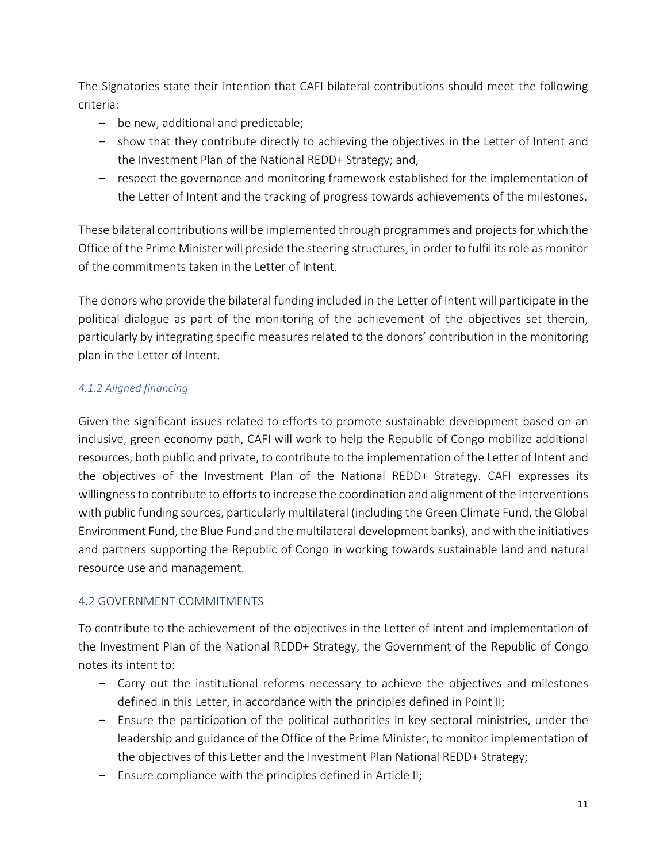The Signatories state their intention that CAFI bilateral contributions should meet the following criteria:

- be new, additional and predictable;
- show that they contribute directly to achieving the objectives in the Letter of Intent and the Investment Plan of the National REDD+ Strategy; and,
- respect the governance and monitoring framework established for the implementation of the Letter of Intent and the tracking of progress towards achievements of the milestones.

These bilateral contributions will be implemented through programmes and projectsfor which the Office of the Prime Minister will preside the steering structures, in order to fulfil its role as monitor of the commitments taken in the Letter of Intent.

The donors who provide the bilateral funding included in the Letter of Intent will participate in the political dialogue as part of the monitoring of the achievement of the objectives set therein, particularly by integrating specific measures related to the donors' contribution in the monitoring plan in the Letter of Intent.

#### *4.1.2 Aligned financing*

Given the significant issues related to efforts to promote sustainable development based on an inclusive, green economy path, CAFI will work to help the Republic of Congo mobilize additional resources, both public and private, to contribute to the implementation of the Letter of Intent and the objectives of the Investment Plan of the National REDD+ Strategy. CAFI expresses its willingness to contribute to efforts to increase the coordination and alignment of the interventions with public funding sources, particularly multilateral (including the Green Climate Fund, the Global Environment Fund, the Blue Fund and the multilateral development banks), and with the initiatives and partners supporting the Republic of Congo in working towards sustainable land and natural resource use and management.

#### 4.2 GOVERNMENT COMMITMENTS

To contribute to the achievement of the objectives in the Letter of Intent and implementation of the Investment Plan of the National REDD+ Strategy, the Government of the Republic of Congo notes its intent to:

- Carry out the institutional reforms necessary to achieve the objectives and milestones defined in this Letter, in accordance with the principles defined in Point II;
- Ensure the participation of the political authorities in key sectoral ministries, under the leadership and guidance of the Office of the Prime Minister, to monitor implementation of the objectives of this Letter and the Investment Plan National REDD+ Strategy;
- Ensure compliance with the principles defined in Article II;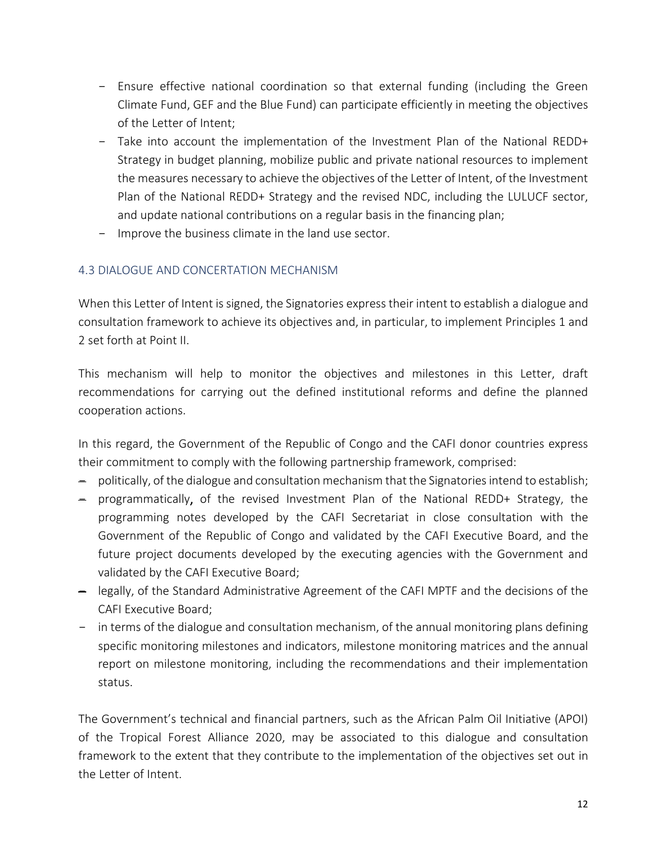- Ensure effective national coordination so that external funding (including the Green Climate Fund, GEF and the Blue Fund) can participate efficiently in meeting the objectives of the Letter of Intent;
- Take into account the implementation of the Investment Plan of the National REDD+ Strategy in budget planning, mobilize public and private national resources to implement the measures necessary to achieve the objectives of the Letter of Intent, of the Investment Plan of the National REDD+ Strategy and the revised NDC, including the LULUCF sector, and update national contributions on a regular basis in the financing plan;
- Improve the business climate in the land use sector.

#### 4.3 DIALOGUE AND CONCERTATION MECHANISM

When this Letter of Intent is signed, the Signatories express their intent to establish a dialogue and consultation framework to achieve its objectives and, in particular, to implement Principles 1 and 2 set forth at Point II.

This mechanism will help to monitor the objectives and milestones in this Letter, draft recommendations for carrying out the defined institutional reforms and define the planned cooperation actions.

In this regard, the Government of the Republic of Congo and the CAFI donor countries express their commitment to comply with the following partnership framework, comprised:

- politically, of the dialogue and consultation mechanism that the Signatories intend to establish;
- programmatically, of the revised Investment Plan of the National REDD+ Strategy, the programming notes developed by the CAFI Secretariat in close consultation with the Government of the Republic of Congo and validated by the CAFI Executive Board, and the future project documents developed by the executing agencies with the Government and validated by the CAFI Executive Board;
- legally, of the Standard Administrative Agreement of the CAFI MPTF and the decisions of the CAFI Executive Board;
- in terms of the dialogue and consultation mechanism, of the annual monitoring plans defining specific monitoring milestones and indicators, milestone monitoring matrices and the annual report on milestone monitoring, including the recommendations and their implementation status.

The Government's technical and financial partners, such as the African Palm Oil Initiative (APOI) of the Tropical Forest Alliance 2020, may be associated to this dialogue and consultation framework to the extent that they contribute to the implementation of the objectives set out in the Letter of Intent.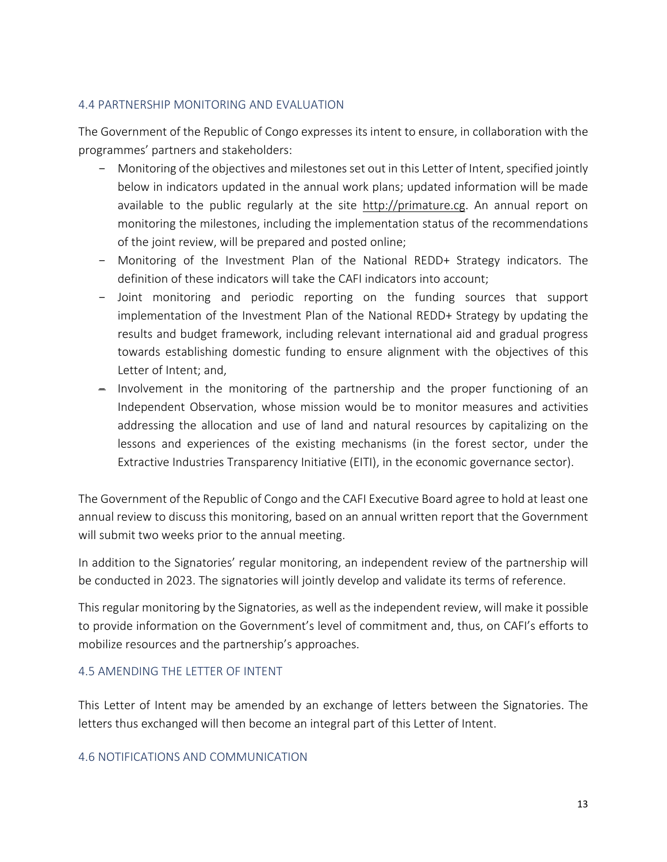#### 4.4 PARTNERSHIP MONITORING AND EVALUATION

The Government of the Republic of Congo expresses its intent to ensure, in collaboration with the programmes' partners and stakeholders:

- Monitoring of the objectives and milestones set out in this Letter of Intent, specified jointly below in indicators updated in the annual work plans; updated information will be made available to the public regularly at the site [http://primature.cg.](http://primature.cg/) An annual report on monitoring the milestones, including the implementation status of the recommendations of the joint review, will be prepared and posted online;
- Monitoring of the Investment Plan of the National REDD+ Strategy indicators. The definition of these indicators will take the CAFI indicators into account;
- Joint monitoring and periodic reporting on the funding sources that support implementation of the Investment Plan of the National REDD+ Strategy by updating the results and budget framework, including relevant international aid and gradual progress towards establishing domestic funding to ensure alignment with the objectives of this Letter of Intent; and,
- Involvement in the monitoring of the partnership and the proper functioning of an Independent Observation, whose mission would be to monitor measures and activities addressing the allocation and use of land and natural resources by capitalizing on the lessons and experiences of the existing mechanisms (in the forest sector, under the Extractive Industries Transparency Initiative (EITI), in the economic governance sector).

The Government of the Republic of Congo and the CAFI Executive Board agree to hold at least one annual review to discuss this monitoring, based on an annual written report that the Government will submit two weeks prior to the annual meeting.

In addition to the Signatories' regular monitoring, an independent review of the partnership will be conducted in 2023. The signatories will jointly develop and validate its terms of reference.

This regular monitoring by the Signatories, as well as the independent review, will make it possible to provide information on the Government's level of commitment and, thus, on CAFI's efforts to mobilize resources and the partnership's approaches.

#### 4.5 AMENDING THE LETTER OF INTENT

This Letter of Intent may be amended by an exchange of letters between the Signatories. The letters thus exchanged will then become an integral part of this Letter of Intent.

#### 4.6 NOTIFICATIONS AND COMMUNICATION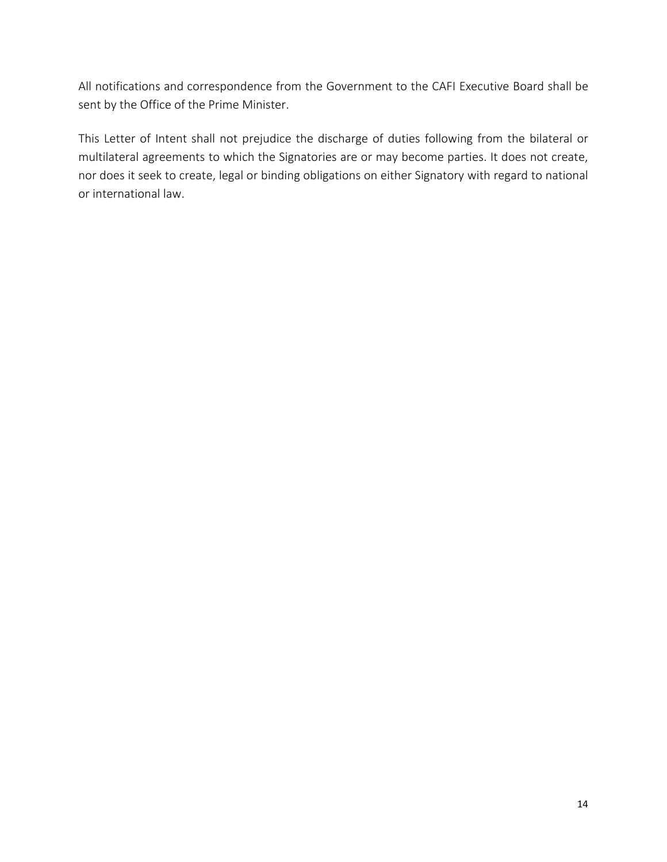All notifications and correspondence from the Government to the CAFI Executive Board shall be sent by the Office of the Prime Minister.

This Letter of Intent shall not prejudice the discharge of duties following from the bilateral or multilateral agreements to which the Signatories are or may become parties. It does not create, nor does it seek to create, legal or binding obligations on either Signatory with regard to national or international law.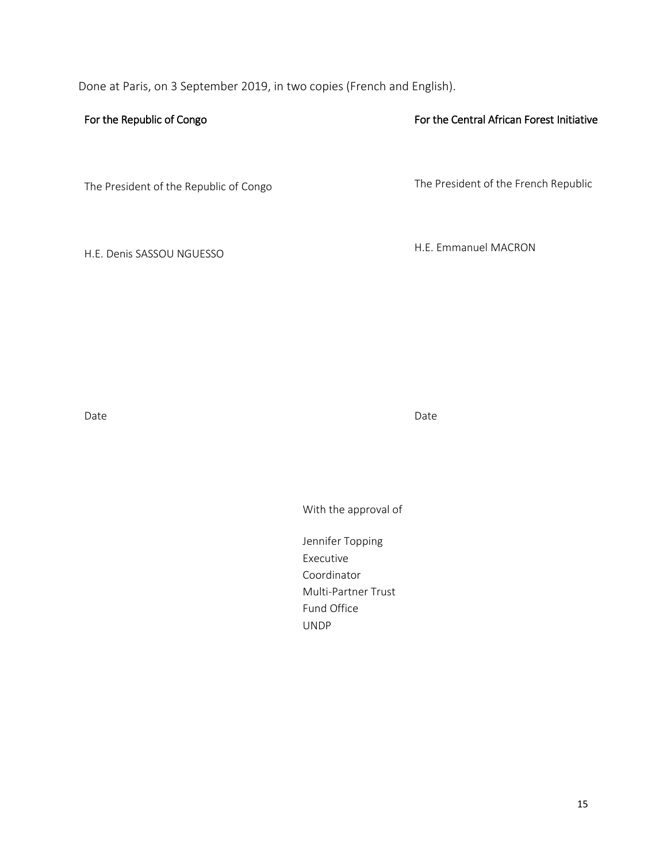Done at Paris, on 3 September 2019, in two copies (French and English).

#### For the Republic of Congo

The President of the Republic of Congo

H.E. Denis SASSOU NGUESSO

For the Central African Forest Initiative

The President of the French Republic

H.E. Emmanuel MACRON

Date **Date Date Date Date Date Date Date Date Date** 

With the approval of

Jennifer Topping Executive Coordinator Multi-Partner Trust Fund Office UNDP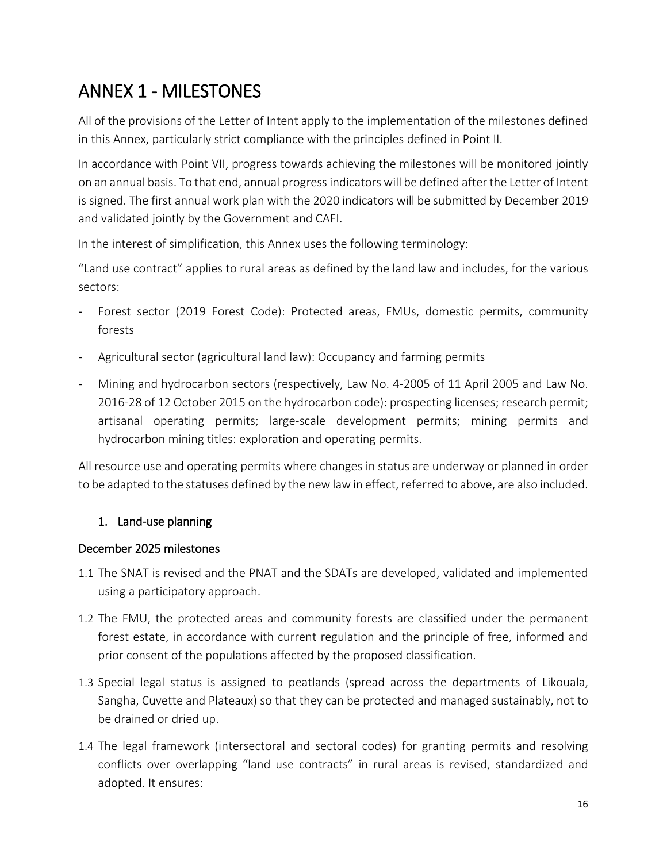# ANNEX 1 - MILESTONES

All of the provisions of the Letter of Intent apply to the implementation of the milestones defined in this Annex, particularly strict compliance with the principles defined in Point II.

In accordance with Point VII, progress towards achieving the milestones will be monitored jointly on an annual basis. To that end, annual progressindicators will be defined after the Letter of Intent is signed. The first annual work plan with the 2020 indicators will be submitted by December 2019 and validated jointly by the Government and CAFI.

In the interest of simplification, this Annex uses the following terminology:

"Land use contract" applies to rural areas as defined by the land law and includes, for the various sectors:

- Forest sector (2019 Forest Code): Protected areas, FMUs, domestic permits, community forests
- Agricultural sector (agricultural land law): Occupancy and farming permits
- Mining and hydrocarbon sectors (respectively, Law No. 4-2005 of 11 April 2005 and Law No. 2016-28 of 12 October 2015 on the hydrocarbon code): prospecting licenses; research permit; artisanal operating permits; large-scale development permits; mining permits and hydrocarbon mining titles: exploration and operating permits.

All resource use and operating permits where changes in status are underway or planned in order to be adapted to the statuses defined by the new law in effect, referred to above, are also included.

## 1. Land-use planning

#### December 2025 milestones

- 1.1 The SNAT is revised and the PNAT and the SDATs are developed, validated and implemented using a participatory approach.
- 1.2 The FMU, the protected areas and community forests are classified under the permanent forest estate, in accordance with current regulation and the principle of free, informed and prior consent of the populations affected by the proposed classification.
- 1.3 Special legal status is assigned to peatlands (spread across the departments of Likouala, Sangha, Cuvette and Plateaux) so that they can be protected and managed sustainably, not to be drained or dried up.
- 1.4 The legal framework (intersectoral and sectoral codes) for granting permits and resolving conflicts over overlapping "land use contracts" in rural areas is revised, standardized and adopted. It ensures: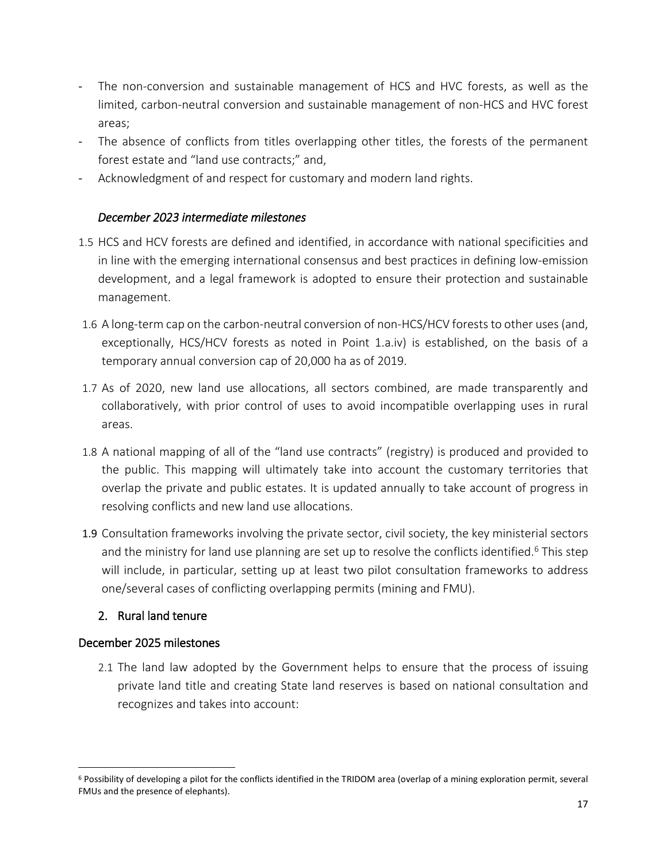- The non-conversion and sustainable management of HCS and HVC forests, as well as the limited, carbon-neutral conversion and sustainable management of non-HCS and HVC forest areas;
- The absence of conflicts from titles overlapping other titles, the forests of the permanent forest estate and "land use contracts;" and,
- Acknowledgment of and respect for customary and modern land rights.

#### *December 2023 intermediate milestones*

- 1.5 HCS and HCV forests are defined and identified, in accordance with national specificities and in line with the emerging international consensus and best practices in defining low-emission development, and a legal framework is adopted to ensure their protection and sustainable management.
- 1.6 A long-term cap on the carbon-neutral conversion of non-HCS/HCV forests to other uses (and, exceptionally, HCS/HCV forests as noted in Point 1.a.iv) is established, on the basis of a temporary annual conversion cap of 20,000 ha as of 2019.
- 1.7 As of 2020, new land use allocations, all sectors combined, are made transparently and collaboratively, with prior control of uses to avoid incompatible overlapping uses in rural areas.
- 1.8 A national mapping of all of the "land use contracts" (registry) is produced and provided to the public. This mapping will ultimately take into account the customary territories that overlap the private and public estates. It is updated annually to take account of progress in resolving conflicts and new land use allocations.
- 1.9 Consultation frameworks involving the private sector, civil society, the key ministerial sectors and the ministry for land use planning are set up to resolve the conflicts identified.<sup>6</sup> This step will include, in particular, setting up at least two pilot consultation frameworks to address one/several cases of conflicting overlapping permits (mining and FMU).

#### 2. Rural land tenure

#### December 2025 milestones

 $\overline{a}$ 

2.1 The land law adopted by the Government helps to ensure that the process of issuing private land title and creating State land reserves is based on national consultation and recognizes and takes into account:

<sup>6</sup> Possibility of developing a pilot for the conflicts identified in the TRIDOM area (overlap of a mining exploration permit, several FMUs and the presence of elephants).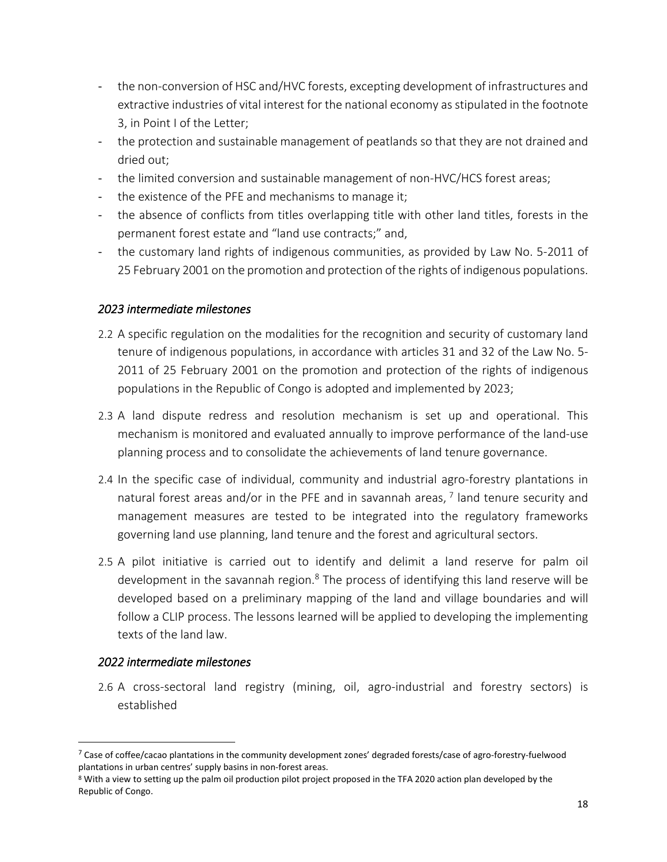- the non-conversion of HSC and/HVC forests, excepting development of infrastructures and extractive industries of vital interest for the national economy asstipulated in the footnote 3, in Point I of the Letter;
- the protection and sustainable management of peatlands so that they are not drained and dried out;
- the limited conversion and sustainable management of non-HVC/HCS forest areas;
- the existence of the PFE and mechanisms to manage it;
- the absence of conflicts from titles overlapping title with other land titles, forests in the permanent forest estate and "land use contracts;" and,
- the customary land rights of indigenous communities, as provided by Law No. 5-2011 of 25 February 2001 on the promotion and protection of the rights of indigenous populations.

#### *2023 intermediate milestones*

- 2.2 A specific regulation on the modalities for the recognition and security of customary land tenure of indigenous populations, in accordance with articles 31 and 32 of the Law No. 5- 2011 of 25 February 2001 on the promotion and protection of the rights of indigenous populations in the Republic of Congo is adopted and implemented by 2023;
- 2.3 A land dispute redress and resolution mechanism is set up and operational. This mechanism is monitored and evaluated annually to improve performance of the land-use planning process and to consolidate the achievements of land tenure governance.
- 2.4 In the specific case of individual, community and industrial agro-forestry plantations in natural forest areas and/or in the PFE and in savannah areas,  $^7$  land tenure security and management measures are tested to be integrated into the regulatory frameworks governing land use planning, land tenure and the forest and agricultural sectors.
- 2.5 A pilot initiative is carried out to identify and delimit a land reserve for palm oil development in the savannah region. $8$  The process of identifying this land reserve will be developed based on a preliminary mapping of the land and village boundaries and will follow a CLIP process. The lessons learned will be applied to developing the implementing texts of the land law.

## *2022 intermediate milestones*

 $\overline{a}$ 

2.6 A cross-sectoral land registry (mining, oil, agro-industrial and forestry sectors) is established

<sup>&</sup>lt;sup>7</sup> Case of coffee/cacao plantations in the community development zones' degraded forests/case of agro-forestry-fuelwood plantations in urban centres' supply basins in non-forest areas.

<sup>&</sup>lt;sup>8</sup> With a view to setting up the palm oil production pilot project proposed in the TFA 2020 action plan developed by the Republic of Congo.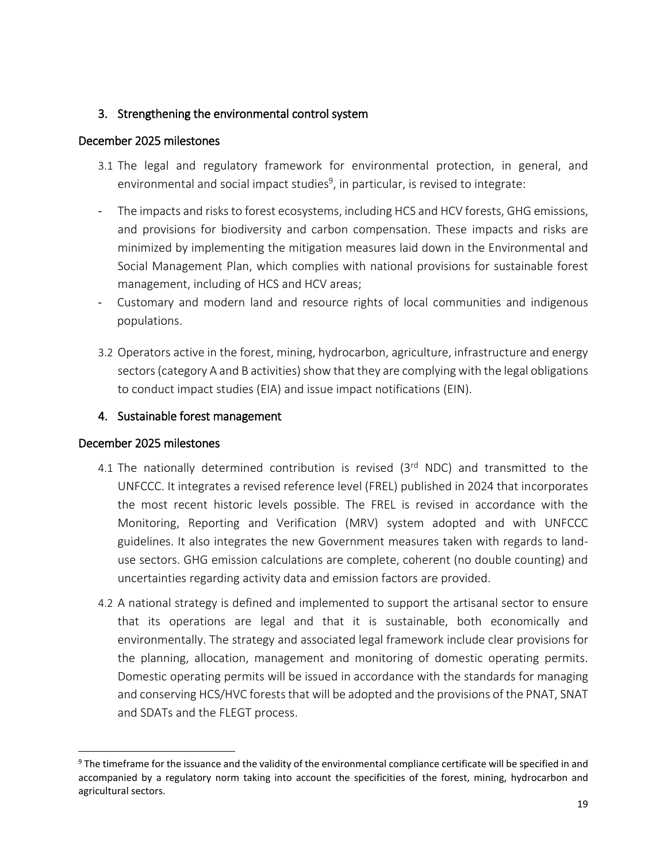#### 3. Strengthening the environmental control system

#### December 2025 milestones

- 3.1 The legal and regulatory framework for environmental protection, in general, and environmental and social impact studies<sup>9</sup>, in particular, is revised to integrate:
- The impacts and risks to forest ecosystems, including HCS and HCV forests, GHG emissions, and provisions for biodiversity and carbon compensation. These impacts and risks are minimized by implementing the mitigation measures laid down in the Environmental and Social Management Plan, which complies with national provisions for sustainable forest management, including of HCS and HCV areas;
- Customary and modern land and resource rights of local communities and indigenous populations.
- 3.2 Operators active in the forest, mining, hydrocarbon, agriculture, infrastructure and energy sectors (category A and B activities) show that they are complying with the legal obligations to conduct impact studies (EIA) and issue impact notifications (EIN).

#### 4. Sustainable forest management

#### December 2025 milestones

- 4.1 The nationally determined contribution is revised  $(3<sup>rd</sup> NDC)$  and transmitted to the UNFCCC. It integrates a revised reference level (FREL) published in 2024 that incorporates the most recent historic levels possible. The FREL is revised in accordance with the Monitoring, Reporting and Verification (MRV) system adopted and with UNFCCC guidelines. It also integrates the new Government measures taken with regards to landuse sectors. GHG emission calculations are complete, coherent (no double counting) and uncertainties regarding activity data and emission factors are provided.
- 4.2 A national strategy is defined and implemented to support the artisanal sector to ensure that its operations are legal and that it is sustainable, both economically and environmentally. The strategy and associated legal framework include clear provisions for the planning, allocation, management and monitoring of domestic operating permits. Domestic operating permits will be issued in accordance with the standards for managing and conserving HCS/HVC forests that will be adopted and the provisions of the PNAT, SNAT and SDATs and the FLEGT process.

<sup>&</sup>lt;sup>9</sup> The timeframe for the issuance and the validity of the environmental compliance certificate will be specified in and accompanied by a regulatory norm taking into account the specificities of the forest, mining, hydrocarbon and agricultural sectors.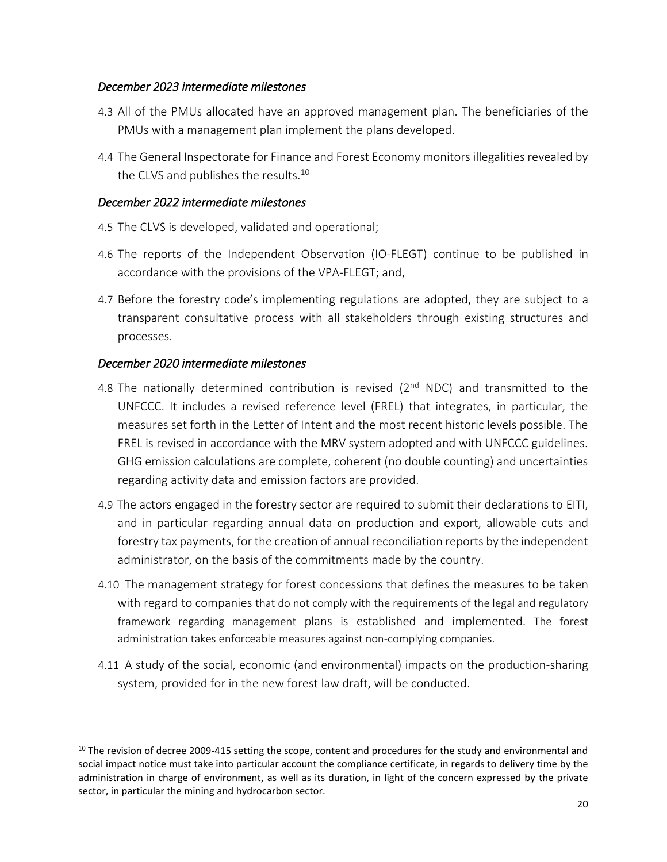#### *December 2023 intermediate milestones*

- 4.3 All of the PMUs allocated have an approved management plan. The beneficiaries of the PMUs with a management plan implement the plans developed.
- 4.4 The General Inspectorate for Finance and Forest Economy monitors illegalities revealed by the CLVS and publishes the results.<sup>10</sup>

#### *December 2022 intermediate milestones*

- 4.5 The CLVS is developed, validated and operational;
- 4.6 The reports of the Independent Observation (IO-FLEGT) continue to be published in accordance with the provisions of the VPA-FLEGT; and,
- 4.7 Before the forestry code's implementing regulations are adopted, they are subject to a transparent consultative process with all stakeholders through existing structures and processes.

#### *December 2020 intermediate milestones*

- 4.8 The nationally determined contribution is revised (2<sup>nd</sup> NDC) and transmitted to the UNFCCC. It includes a revised reference level (FREL) that integrates, in particular, the measures set forth in the Letter of Intent and the most recent historic levels possible. The FREL is revised in accordance with the MRV system adopted and with UNFCCC guidelines. GHG emission calculations are complete, coherent (no double counting) and uncertainties regarding activity data and emission factors are provided.
- 4.9 The actors engaged in the forestry sector are required to submit their declarations to EITI, and in particular regarding annual data on production and export, allowable cuts and forestry tax payments, for the creation of annual reconciliation reports by the independent administrator, on the basis of the commitments made by the country.
- 4.10 The management strategy for forest concessions that defines the measures to be taken with regard to companies that do not comply with the requirements of the legal and regulatory framework regarding management plans is established and implemented. The forest administration takes enforceable measures against non-complying companies.
- 4.11 A study of the social, economic (and environmental) impacts on the production-sharing system, provided for in the new forest law draft, will be conducted.

 $10$  The revision of decree 2009-415 setting the scope, content and procedures for the study and environmental and social impact notice must take into particular account the compliance certificate, in regards to delivery time by the administration in charge of environment, as well as its duration, in light of the concern expressed by the private sector, in particular the mining and hydrocarbon sector.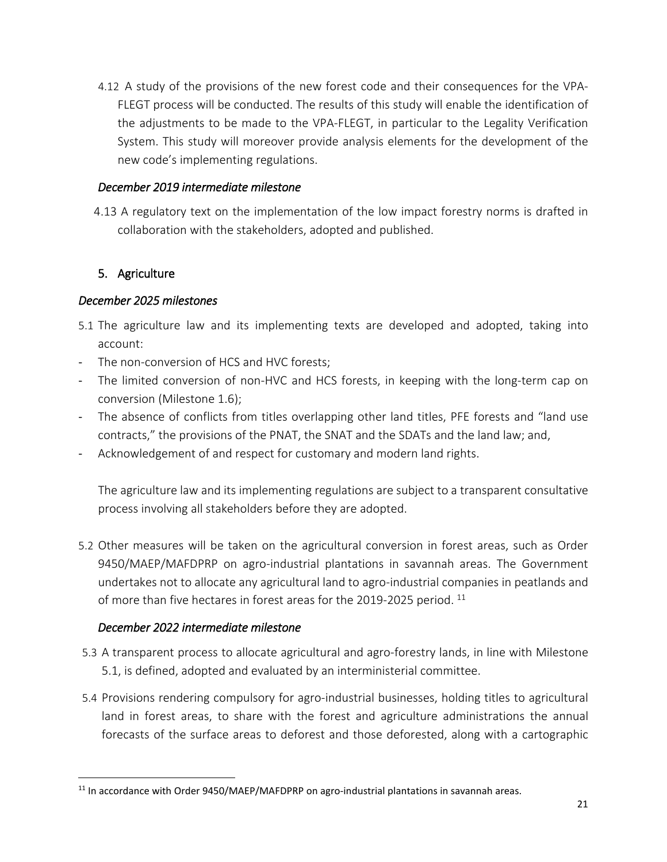4.12 A study of the provisions of the new forest code and their consequences for the VPA-FLEGT process will be conducted. The results of this study will enable the identification of the adjustments to be made to the VPA-FLEGT, in particular to the Legality Verification System. This study will moreover provide analysis elements for the development of the new code's implementing regulations.

#### *December 2019 intermediate milestone*

4.13 A regulatory text on the implementation of the low impact forestry norms is drafted in collaboration with the stakeholders, adopted and published.

#### 5. Agriculture

#### *December 2025 milestones*

- 5.1 The agriculture law and its implementing texts are developed and adopted, taking into account:
- The non-conversion of HCS and HVC forests;
- The limited conversion of non-HVC and HCS forests, in keeping with the long-term cap on conversion (Milestone 1.6);
- The absence of conflicts from titles overlapping other land titles, PFE forests and "land use contracts," the provisions of the PNAT, the SNAT and the SDATs and the land law; and,
- Acknowledgement of and respect for customary and modern land rights.

The agriculture law and its implementing regulations are subject to a transparent consultative process involving all stakeholders before they are adopted.

5.2 Other measures will be taken on the agricultural conversion in forest areas, such as Order 9450/MAEP/MAFDPRP on agro-industrial plantations in savannah areas. The Government undertakes not to allocate any agricultural land to agro-industrial companies in peatlands and of more than five hectares in forest areas for the 2019-2025 period. <sup>11</sup>

#### *December 2022 intermediate milestone*

- 5.3 A transparent process to allocate agricultural and agro-forestry lands, in line with Milestone 5.1, is defined, adopted and evaluated by an interministerial committee.
- 5.4 Provisions rendering compulsory for agro-industrial businesses, holding titles to agricultural land in forest areas, to share with the forest and agriculture administrations the annual forecasts of the surface areas to deforest and those deforested, along with a cartographic

<sup>&</sup>lt;sup>11</sup> In accordance with Order 9450/MAEP/MAFDPRP on agro-industrial plantations in savannah areas.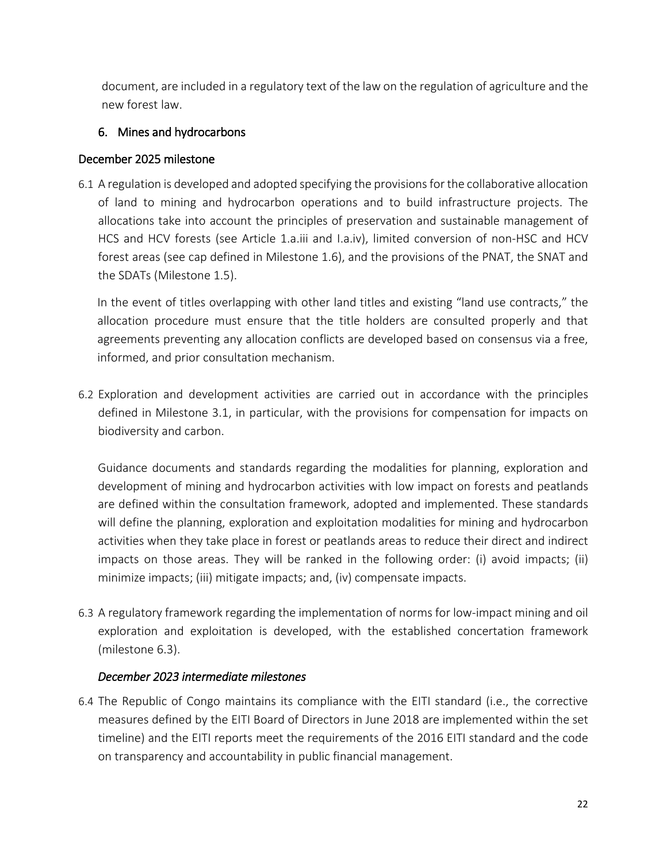document, are included in a regulatory text of the law on the regulation of agriculture and the new forest law.

## 6. Mines and hydrocarbons

## December 2025 milestone

6.1 A regulation is developed and adopted specifying the provisionsfor the collaborative allocation of land to mining and hydrocarbon operations and to build infrastructure projects. The allocations take into account the principles of preservation and sustainable management of HCS and HCV forests (see Article 1.a.iii and I.a.iv), limited conversion of non-HSC and HCV forest areas (see cap defined in Milestone 1.6), and the provisions of the PNAT, the SNAT and the SDATs (Milestone 1.5).

In the event of titles overlapping with other land titles and existing "land use contracts," the allocation procedure must ensure that the title holders are consulted properly and that agreements preventing any allocation conflicts are developed based on consensus via a free, informed, and prior consultation mechanism.

6.2 Exploration and development activities are carried out in accordance with the principles defined in Milestone 3.1, in particular, with the provisions for compensation for impacts on biodiversity and carbon.

Guidance documents and standards regarding the modalities for planning, exploration and development of mining and hydrocarbon activities with low impact on forests and peatlands are defined within the consultation framework, adopted and implemented. These standards will define the planning, exploration and exploitation modalities for mining and hydrocarbon activities when they take place in forest or peatlands areas to reduce their direct and indirect impacts on those areas. They will be ranked in the following order: (i) avoid impacts; (ii) minimize impacts; (iii) mitigate impacts; and, (iv) compensate impacts.

6.3 A regulatory framework regarding the implementation of norms for low-impact mining and oil exploration and exploitation is developed, with the established concertation framework (milestone 6.3).

## *December 2023 intermediate milestones*

6.4 The Republic of Congo maintains its compliance with the EITI standard (i.e., the corrective measures defined by the EITI Board of Directors in June 2018 are implemented within the set timeline) and the EITI reports meet the requirements of the 2016 EITI standard and the code on transparency and accountability in public financial management.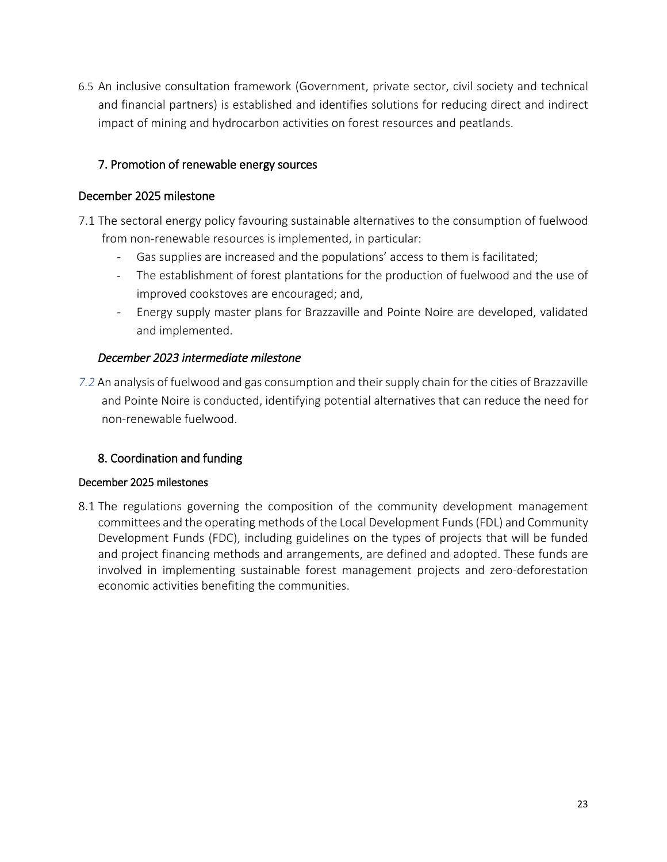6.5 An inclusive consultation framework (Government, private sector, civil society and technical and financial partners) is established and identifies solutions for reducing direct and indirect impact of mining and hydrocarbon activities on forest resources and peatlands.

## 7. Promotion of renewable energy sources

#### December 2025 milestone

- 7.1 The sectoral energy policy favouring sustainable alternatives to the consumption of fuelwood from non-renewable resources is implemented, in particular:
	- Gas supplies are increased and the populations' access to them is facilitated;
	- The establishment of forest plantations for the production of fuelwood and the use of improved cookstoves are encouraged; and,
	- Energy supply master plans for Brazzaville and Pointe Noire are developed, validated and implemented.

#### *December 2023 intermediate milestone*

7.2 An analysis of fuelwood and gas consumption and their supply chain for the cities of Brazzaville and Pointe Noire is conducted, identifying potential alternatives that can reduce the need for non-renewable fuelwood.

#### 8. Coordination and funding

#### December 2025 milestones

8.1 The regulations governing the composition of the community development management committees and the operating methods of the Local Development Funds(FDL) and Community Development Funds (FDC), including guidelines on the types of projects that will be funded and project financing methods and arrangements, are defined and adopted. These funds are involved in implementing sustainable forest management projects and zero-deforestation economic activities benefiting the communities.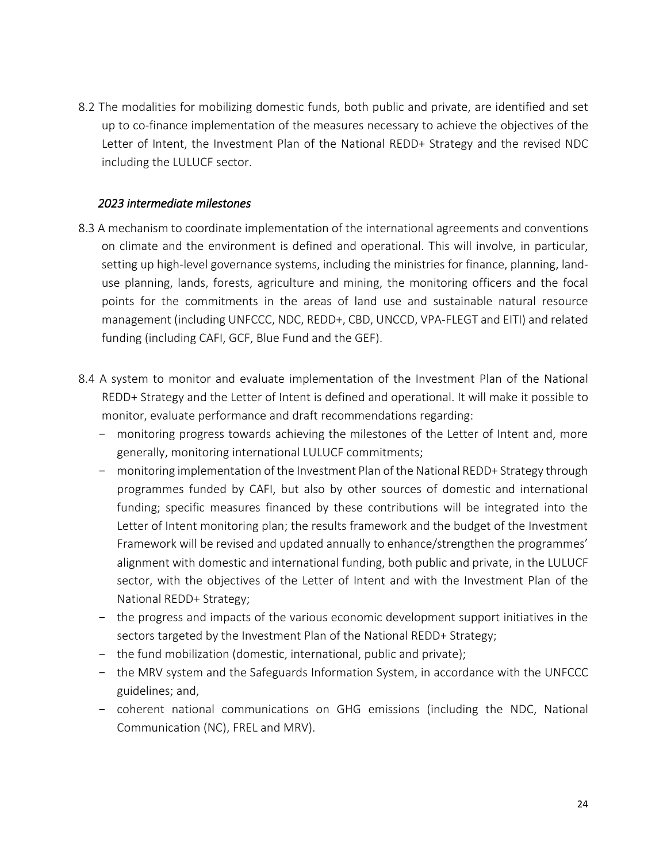8.2 The modalities for mobilizing domestic funds, both public and private, are identified and set up to co-finance implementation of the measures necessary to achieve the objectives of the Letter of Intent, the Investment Plan of the National REDD+ Strategy and the revised NDC including the LULUCF sector.

#### *2023 intermediate milestones*

- 8.3 A mechanism to coordinate implementation of the international agreements and conventions on climate and the environment is defined and operational. This will involve, in particular, setting up high-level governance systems, including the ministries for finance, planning, landuse planning, lands, forests, agriculture and mining, the monitoring officers and the focal points for the commitments in the areas of land use and sustainable natural resource management (including UNFCCC, NDC, REDD+, CBD, UNCCD, VPA-FLEGT and EITI) and related funding (including CAFI, GCF, Blue Fund and the GEF).
- 8.4 A system to monitor and evaluate implementation of the Investment Plan of the National REDD+ Strategy and the Letter of Intent is defined and operational. It will make it possible to monitor, evaluate performance and draft recommendations regarding:
	- monitoring progress towards achieving the milestones of the Letter of Intent and, more generally, monitoring international LULUCF commitments;
	- monitoring implementation of the Investment Plan of the National REDD+ Strategy through programmes funded by CAFI, but also by other sources of domestic and international funding; specific measures financed by these contributions will be integrated into the Letter of Intent monitoring plan; the results framework and the budget of the Investment Framework will be revised and updated annually to enhance/strengthen the programmes' alignment with domestic and international funding, both public and private, in the LULUCF sector, with the objectives of the Letter of Intent and with the Investment Plan of the National REDD+ Strategy;
	- the progress and impacts of the various economic development support initiatives in the sectors targeted by the Investment Plan of the National REDD+ Strategy;
	- the fund mobilization (domestic, international, public and private);
	- the MRV system and the Safeguards Information System, in accordance with the UNFCCC guidelines; and,
	- coherent national communications on GHG emissions (including the NDC, National Communication (NC), FREL and MRV).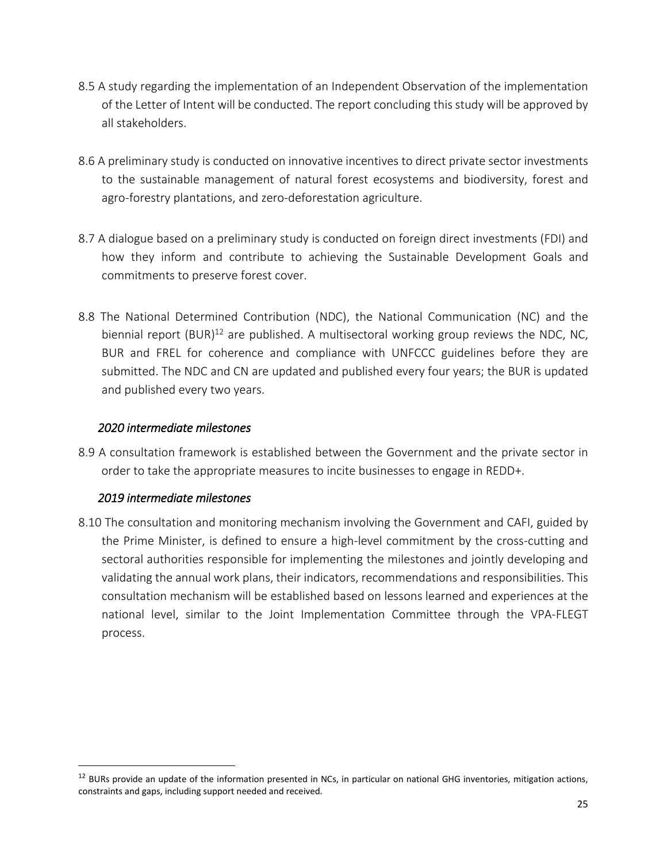- 8.5 A study regarding the implementation of an Independent Observation of the implementation of the Letter of Intent will be conducted. The report concluding this study will be approved by all stakeholders.
- 8.6 A preliminary study is conducted on innovative incentives to direct private sector investments to the sustainable management of natural forest ecosystems and biodiversity, forest and agro-forestry plantations, and zero-deforestation agriculture.
- 8.7 A dialogue based on a preliminary study is conducted on foreign direct investments (FDI) and how they inform and contribute to achieving the Sustainable Development Goals and commitments to preserve forest cover.
- 8.8 The National Determined Contribution (NDC), the National Communication (NC) and the biennial report  $(BUR)^{12}$  are published. A multisectoral working group reviews the NDC, NC, BUR and FREL for coherence and compliance with UNFCCC guidelines before they are submitted. The NDC and CN are updated and published every four years; the BUR is updated and published every two years.

#### *2020 intermediate milestones*

8.9 A consultation framework is established between the Government and the private sector in order to take the appropriate measures to incite businesses to engage in REDD+.

## *2019 intermediate milestones*

 $\overline{a}$ 

8.10 The consultation and monitoring mechanism involving the Government and CAFI, guided by the Prime Minister, is defined to ensure a high-level commitment by the cross-cutting and sectoral authorities responsible for implementing the milestones and jointly developing and validating the annual work plans, their indicators, recommendations and responsibilities. This consultation mechanism will be established based on lessons learned and experiences at the national level, similar to the Joint Implementation Committee through the VPA-FLEGT process.

 $12$  BURs provide an update of the information presented in NCs, in particular on national GHG inventories, mitigation actions, constraints and gaps, including support needed and received.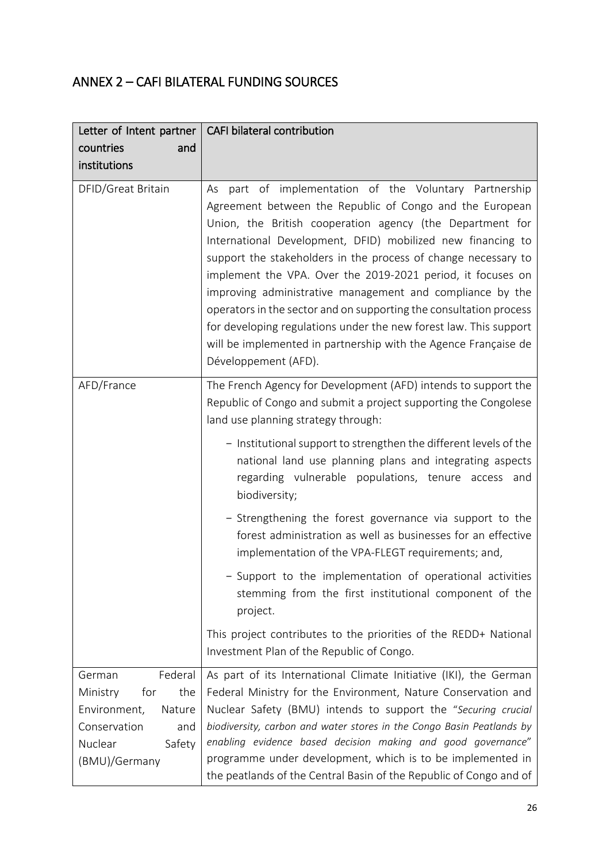# ANNEX 2 – CAFI BILATERAL FUNDING SOURCES

| Letter of Intent partner                                                                                                           | CAFI bilateral contribution                                                                                                                                                                                                                                                                                                                                                                                                                                                                                                                                                                                                                                                           |
|------------------------------------------------------------------------------------------------------------------------------------|---------------------------------------------------------------------------------------------------------------------------------------------------------------------------------------------------------------------------------------------------------------------------------------------------------------------------------------------------------------------------------------------------------------------------------------------------------------------------------------------------------------------------------------------------------------------------------------------------------------------------------------------------------------------------------------|
| countries<br>and                                                                                                                   |                                                                                                                                                                                                                                                                                                                                                                                                                                                                                                                                                                                                                                                                                       |
| institutions                                                                                                                       |                                                                                                                                                                                                                                                                                                                                                                                                                                                                                                                                                                                                                                                                                       |
| DFID/Great Britain                                                                                                                 | part of implementation of the Voluntary Partnership<br>As<br>Agreement between the Republic of Congo and the European<br>Union, the British cooperation agency (the Department for<br>International Development, DFID) mobilized new financing to<br>support the stakeholders in the process of change necessary to<br>implement the VPA. Over the 2019-2021 period, it focuses on<br>improving administrative management and compliance by the<br>operators in the sector and on supporting the consultation process<br>for developing regulations under the new forest law. This support<br>will be implemented in partnership with the Agence Française de<br>Développement (AFD). |
| AFD/France                                                                                                                         | The French Agency for Development (AFD) intends to support the<br>Republic of Congo and submit a project supporting the Congolese<br>land use planning strategy through:                                                                                                                                                                                                                                                                                                                                                                                                                                                                                                              |
|                                                                                                                                    | - Institutional support to strengthen the different levels of the<br>national land use planning plans and integrating aspects<br>regarding vulnerable populations, tenure access and<br>biodiversity;                                                                                                                                                                                                                                                                                                                                                                                                                                                                                 |
|                                                                                                                                    | - Strengthening the forest governance via support to the<br>forest administration as well as businesses for an effective<br>implementation of the VPA-FLEGT requirements; and,                                                                                                                                                                                                                                                                                                                                                                                                                                                                                                        |
|                                                                                                                                    | - Support to the implementation of operational activities<br>stemming from the first institutional component of the<br>project.                                                                                                                                                                                                                                                                                                                                                                                                                                                                                                                                                       |
|                                                                                                                                    | This project contributes to the priorities of the REDD+ National<br>Investment Plan of the Republic of Congo.                                                                                                                                                                                                                                                                                                                                                                                                                                                                                                                                                                         |
| Federal<br>German<br>the<br>Ministry<br>for<br>Environment,<br>Nature<br>Conservation<br>and<br>Nuclear<br>Safety<br>(BMU)/Germany | As part of its International Climate Initiative (IKI), the German<br>Federal Ministry for the Environment, Nature Conservation and<br>Nuclear Safety (BMU) intends to support the "Securing crucial<br>biodiversity, carbon and water stores in the Congo Basin Peatlands by<br>enabling evidence based decision making and good governance"<br>programme under development, which is to be implemented in<br>the peatlands of the Central Basin of the Republic of Congo and of                                                                                                                                                                                                      |